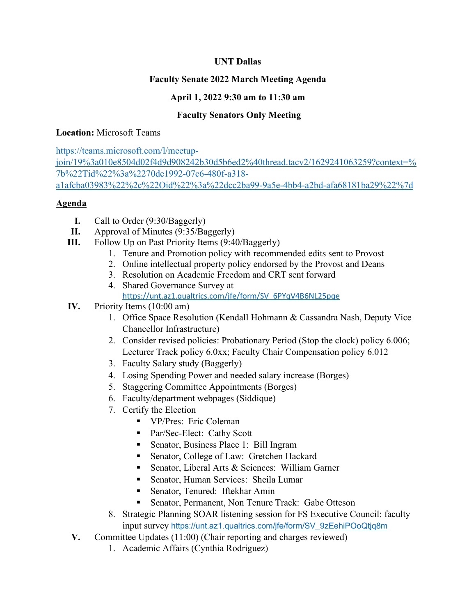### **UNT Dallas**

# **Faculty Senate 2022 March Meeting Agenda**

# **April 1, 2022 9:30 am to 11:30 am**

# **Faculty Senators Only Meeting**

#### **Location:** Microsoft Teams

[https://teams.microsoft.com/l/meetup](https://teams.microsoft.com/l/meetup-join/19%3a010e8504d02f4d9d908242b30d5b6ed2%40thread.tacv2/1629241063259?context=%7b%22Tid%22%3a%2270de1992-07c6-480f-a318-a1afcba03983%22%2c%22Oid%22%3a%22dcc2ba99-9a5e-4bb4-a2bd-afa68181ba29%22%7d)[join/19%3a010e8504d02f4d9d908242b30d5b6ed2%40thread.tacv2/1629241063259?context=%](https://teams.microsoft.com/l/meetup-join/19%3a010e8504d02f4d9d908242b30d5b6ed2%40thread.tacv2/1629241063259?context=%7b%22Tid%22%3a%2270de1992-07c6-480f-a318-a1afcba03983%22%2c%22Oid%22%3a%22dcc2ba99-9a5e-4bb4-a2bd-afa68181ba29%22%7d) [7b%22Tid%22%3a%2270de1992-07c6-480f-a318](https://teams.microsoft.com/l/meetup-join/19%3a010e8504d02f4d9d908242b30d5b6ed2%40thread.tacv2/1629241063259?context=%7b%22Tid%22%3a%2270de1992-07c6-480f-a318-a1afcba03983%22%2c%22Oid%22%3a%22dcc2ba99-9a5e-4bb4-a2bd-afa68181ba29%22%7d) [a1afcba03983%22%2c%22Oid%22%3a%22dcc2ba99-9a5e-4bb4-a2bd-afa68181ba29%22%7d](https://teams.microsoft.com/l/meetup-join/19%3a010e8504d02f4d9d908242b30d5b6ed2%40thread.tacv2/1629241063259?context=%7b%22Tid%22%3a%2270de1992-07c6-480f-a318-a1afcba03983%22%2c%22Oid%22%3a%22dcc2ba99-9a5e-4bb4-a2bd-afa68181ba29%22%7d)

#### **Agenda**

- **I.** Call to Order (9:30/Baggerly)
- **II.** Approval of Minutes (9:35/Baggerly)
- **III.** Follow Up on Past Priority Items (9:40/Baggerly)
	- 1. Tenure and Promotion policy with recommended edits sent to Provost
	- 2. Online intellectual property policy endorsed by the Provost and Deans
	- 3. Resolution on Academic Freedom and CRT sent forward
	- 4. Shared Governance Survey at [https://unt.az1.qualtrics.com/jfe/form/SV\\_6PYqV4B6NL25pqe](https://unt.az1.qualtrics.com/jfe/form/SV_6PYqV4B6NL25pqe)

### **IV.** Priority Items (10:00 am)

- 1. Office Space Resolution (Kendall Hohmann & Cassandra Nash, Deputy Vice Chancellor Infrastructure)
- 2. Consider revised policies: Probationary Period (Stop the clock) policy 6.006; Lecturer Track policy 6.0xx; Faculty Chair Compensation policy 6.012
- 3. Faculty Salary study (Baggerly)
- 4. Losing Spending Power and needed salary increase (Borges)
- 5. Staggering Committee Appointments (Borges)
- 6. Faculty/department webpages (Siddique)
- 7. Certify the Election
	- **VP/Pres: Eric Coleman**
	- Par/Sec-Elect: Cathy Scott
	- **Senator, Business Place 1: Bill Ingram**
	- Senator, College of Law: Gretchen Hackard
	- Senator, Liberal Arts & Sciences: William Garner
	- Senator, Human Services: Sheila Lumar
	- **Senator, Tenured: Iftekhar Amin**
	- Senator, Permanent, Non Tenure Track: Gabe Otteson
- 8. Strategic Planning SOAR listening session for FS Executive Council: faculty input survey [https://unt.az1.qualtrics.com/jfe/form/SV\\_9zEehiPOoQtjq8m](https://unt.az1.qualtrics.com/jfe/form/SV_9zEehiPOoQtjq8m)
- **V.** Committee Updates (11:00) (Chair reporting and charges reviewed)
	- 1. Academic Affairs (Cynthia Rodriguez)